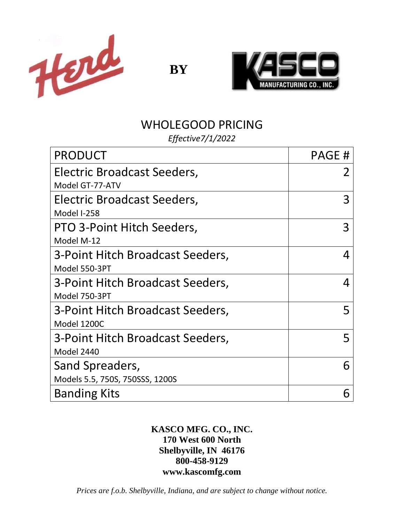

**BY**



# WHOLEGOOD PRICING

*Effective7/1/2022*

| <b>PRODUCT</b>                   | PAGE# |
|----------------------------------|-------|
| Electric Broadcast Seeders,      |       |
| Model GT-77-ATV                  |       |
| Electric Broadcast Seeders,      |       |
| Model I-258                      |       |
| PTO 3-Point Hitch Seeders,       | 3     |
| Model M-12                       |       |
| 3-Point Hitch Broadcast Seeders, | 4     |
| Model 550-3PT                    |       |
| 3-Point Hitch Broadcast Seeders, | 4     |
| Model 750-3PT                    |       |
| 3-Point Hitch Broadcast Seeders, | 5     |
| Model 1200C                      |       |
| 3-Point Hitch Broadcast Seeders, | 5     |
| Model 2440                       |       |
| Sand Spreaders,                  | 6     |
| Models 5.5, 750S, 750SSS, 1200S  |       |
| <b>Banding Kits</b>              |       |

## **KASCO MFG. CO., INC. 170 West 600 North Shelbyville, IN 46176 800-458-9129 www.kascomfg.com**

*Prices are f.o.b. Shelbyville, Indiana, and are subject to change without notice.*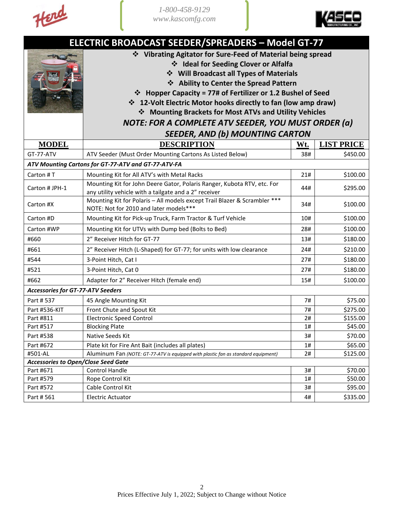



| <b>ELECTRIC BROADCAST SEEDER/SPREADERS - Model GT-77</b> |                                                                                   |     |                   |
|----------------------------------------------------------|-----------------------------------------------------------------------------------|-----|-------------------|
|                                                          | ❖ Vibrating Agitator for Sure-Feed of Material being spread                       |     |                   |
|                                                          | ❖ Ideal for Seeding Clover or Alfalfa                                             |     |                   |
|                                                          | ❖ Will Broadcast all Types of Materials                                           |     |                   |
|                                                          | ❖ Ability to Center the Spread Pattern                                            |     |                   |
|                                                          | ❖ Hopper Capacity = 77# of Fertilizer or 1.2 Bushel of Seed                       |     |                   |
|                                                          | ❖ 12-Volt Electric Motor hooks directly to fan (low amp draw)                     |     |                   |
|                                                          | ❖ Mounting Brackets for Most ATVs and Utility Vehicles                            |     |                   |
|                                                          | NOTE: FOR A COMPLETE ATV SEEDER, YOU MUST ORDER (a)                               |     |                   |
|                                                          | <b>SEEDER, AND (b) MOUNTING CARTON</b>                                            |     |                   |
| <b>MODEL</b>                                             | <b>DESCRIPTION</b>                                                                | Wt. | <b>LIST PRICE</b> |
| GT-77-ATV                                                | ATV Seeder (Must Order Mounting Cartons As Listed Below)                          | 38# | \$450.00          |
|                                                          | ATV Mounting Cartons for GT-77-ATV and GT-77-ATV-FA                               |     |                   |
| Carton #T                                                | Mounting Kit for All ATV's with Metal Racks                                       | 21# | \$100.00          |
|                                                          | Mounting Kit for John Deere Gator, Polaris Ranger, Kubota RTV, etc. For           |     |                   |
| Carton # JPH-1                                           | any utility vehicle with a tailgate and a 2" receiver                             | 44# | \$295.00          |
| Carton #X                                                | Mounting Kit for Polaris - All models except Trail Blazer & Scrambler ***         | 34# | \$100.00          |
|                                                          | NOTE: Not for 2010 and later models***                                            |     |                   |
| Carton #D                                                | Mounting Kit for Pick-up Truck, Farm Tractor & Turf Vehicle                       | 10# | \$100.00          |
| Carton #WP                                               | Mounting Kit for UTVs with Dump bed (Bolts to Bed)                                | 28# | \$100.00          |
| #660                                                     | 2" Receiver Hitch for GT-77                                                       | 13# | \$180.00          |
| #661                                                     | 2" Receiver Hitch (L-Shaped) for GT-77; for units with low clearance              | 24# | \$210.00          |
| #544                                                     | 3-Point Hitch, Cat I                                                              | 27# | \$180.00          |
| #521                                                     | 3-Point Hitch, Cat 0                                                              | 27# | \$180.00          |
| #662                                                     | Adapter for 2" Receiver Hitch (female end)                                        | 15# | \$100.00          |
| <b>Accessories for GT-77-ATV Seeders</b>                 |                                                                                   |     |                   |
| Part # 537                                               | 45 Angle Mounting Kit                                                             | 7#  | \$75.00           |
| Part #536-KIT                                            | Front Chute and Spout Kit                                                         | 7#  | \$275.00          |
| Part #811                                                | <b>Electronic Speed Control</b>                                                   | 2#  | \$155.00          |
| Part #517                                                | <b>Blocking Plate</b>                                                             | 1#  | \$45.00           |
| Part #538                                                | Native Seeds Kit                                                                  | 3#  | \$70.00           |
| Part #672                                                | Plate kit for Fire Ant Bait (includes all plates)                                 | 1#  | \$65.00           |
| #501-AL                                                  | Aluminum Fan (NOTE: GT-77-ATV is equipped with plastic fan as standard equipment) | 2#  | \$125.00          |
| <b>Accessories to Open/Close Seed Gate</b>               |                                                                                   |     |                   |
| Part #671                                                | Control Handle                                                                    | 3#  | \$70.00           |
| Part #579                                                | Rope Control Kit                                                                  | 1#  | \$50.00           |
| Part #572                                                | Cable Control Kit                                                                 | 3#  | \$95.00           |
| Part # 561                                               | <b>Electric Actuator</b>                                                          | 4#  | \$335.00          |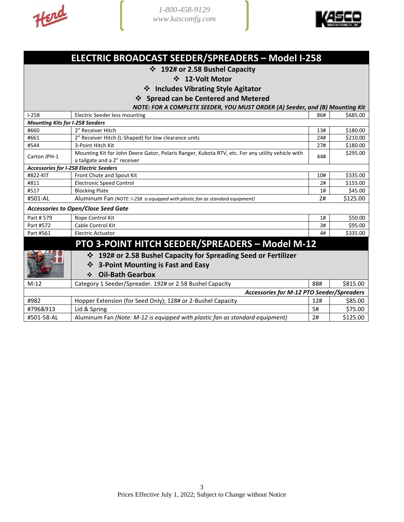Herd



## **ELECTRIC BROADCAST SEEDER/SPREADERS – Model I-258**

### ❖ **192# or 2.58 Bushel Capacity**

#### ❖ **12-Volt Motor**

❖ **Includes Vibrating Style Agitator** 

❖ **Spread can be Centered and Metered**

*NOTE: FOR A COMPLETE SEEDER, YOU MUST ORDER (A) Seeder, and (B) Mounting Kit*

| $1 - 258$                                     | Electric Seeder less mounting                                                                    | 86# | \$685.00 |
|-----------------------------------------------|--------------------------------------------------------------------------------------------------|-----|----------|
| <b>Mounting Kits for I-258 Seeders</b>        |                                                                                                  |     |          |
| #660                                          | 2" Receiver Hitch                                                                                | 13# | \$180.00 |
| #661                                          | 2" Receiver Hitch (L-Shaped) for low clearance units                                             | 24# | \$210.00 |
| #544                                          | 3-Point Hitch Kit                                                                                | 27# | \$180.00 |
| Carton JPH-1                                  | Mounting Kit for John Deere Gator, Polaris Ranger, Kubota RTV, etc. For any utility vehicle with | 44# | \$295.00 |
|                                               | a tailgate and a 2" receiver                                                                     |     |          |
|                                               | <b>Accessories for I-258 Electric Seeders</b>                                                    |     |          |
| #822-KIT                                      | Front Chute and Spout Kit                                                                        | 10# | \$335.00 |
| #811                                          | <b>Electronic Speed Control</b>                                                                  | 2#  | \$155.00 |
| #517                                          | <b>Blocking Plate</b>                                                                            | 1#  | \$45.00  |
| #501-AL                                       | Aluminum Fan (NOTE: I-258 is equipped with plastic fan as standard equipment)                    | 2#  | \$125.00 |
|                                               | <b>Accessories to Open/Close Seed Gate</b>                                                       |     |          |
| Part # 579                                    | Rope Control Kit                                                                                 | 1#  | \$50.00  |
| Part #572                                     | Cable Control Kit                                                                                | 3#  | \$95.00  |
| Part #561                                     | <b>Electric Actuator</b>                                                                         |     | \$335.00 |
|                                               | PTO 3-POINT HITCH SEEDER/SPREADERS - Model M-12                                                  |     |          |
|                                               | 192# or 2.58 Bushel Capacity for Spreading Seed or Fertilizer<br>❖                               |     |          |
| <b>3-Point Mounting is Fast and Easy</b><br>❖ |                                                                                                  |     |          |
|                                               |                                                                                                  |     |          |
|                                               | <b>Oil-Bath Gearbox</b><br>❖                                                                     |     |          |
| $M-12$                                        | Category 1 Seeder/Spreader. 192# or 2.58 Bushel Capacity                                         | 88# | \$815.00 |
|                                               | <b>Accessories for M-12 PTO Seeder/Spreaders</b>                                                 |     |          |
| #982                                          | Hopper Extension (for Seed Only); 128# or 2-Bushel Capacity                                      | 12# | \$85.00  |
| #796&913                                      | Lid & Spring                                                                                     | 5#  | \$75.00  |
| #501-58-AL                                    | Aluminum Fan (Note: M-12 is equipped with plastic fan as standard equipment)                     | 2#  | \$125.00 |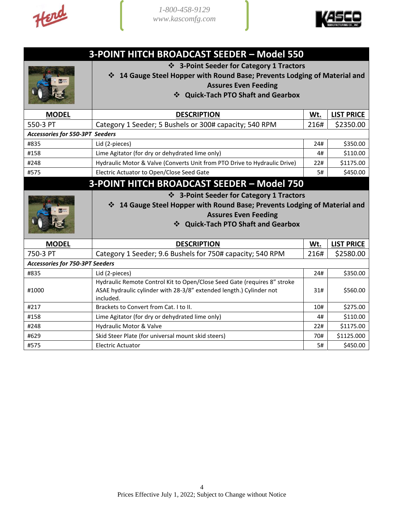Herd



| <b>3-POINT HITCH BROADCAST SEEDER - Model 550</b> |                                                                                                                                                                                          |      |                   |
|---------------------------------------------------|------------------------------------------------------------------------------------------------------------------------------------------------------------------------------------------|------|-------------------|
|                                                   | ❖ 3-Point Seeder for Category 1 Tractors<br>14 Gauge Steel Hopper with Round Base; Prevents Lodging of Material and<br><b>Assures Even Feeding</b><br>❖ Quick-Tach PTO Shaft and Gearbox |      |                   |
| <b>MODEL</b>                                      | <b>DESCRIPTION</b>                                                                                                                                                                       | Wt.  | <b>LIST PRICE</b> |
| 550-3 PT                                          | Category 1 Seeder; 5 Bushels or 300# capacity; 540 RPM                                                                                                                                   | 216# | \$2350.00         |
| Accessories for 550-3PT Seeders                   |                                                                                                                                                                                          |      |                   |
| #835                                              | Lid (2-pieces)                                                                                                                                                                           | 24#  | \$350.00          |
| #158                                              | Lime Agitator (for dry or dehydrated lime only)                                                                                                                                          | 4#   | \$110.00          |
| #248                                              | Hydraulic Motor & Valve (Converts Unit from PTO Drive to Hydraulic Drive)                                                                                                                | 22#  | \$1175.00         |
| #575                                              | Electric Actuator to Open/Close Seed Gate                                                                                                                                                | 5#   | \$450.00          |
| <b>3-POINT HITCH BROADCAST SEEDER - Model 750</b> |                                                                                                                                                                                          |      |                   |
|                                                   | ❖ 3-Point Seeder for Category 1 Tractors<br>14 Gauge Steel Hopper with Round Base; Prevents Lodging of Material and<br><b>Assures Even Feeding</b><br>❖ Quick-Tach PTO Shaft and Gearbox |      |                   |
| <b>MODEL</b>                                      | <b>DESCRIPTION</b>                                                                                                                                                                       | Wt.  | <b>LIST PRICE</b> |
| 750-3 PT                                          | Category 1 Seeder; 9.6 Bushels for 750# capacity; 540 RPM                                                                                                                                | 216# | \$2580.00         |
| <b>Accessories for 750-3PT Seeders</b>            |                                                                                                                                                                                          |      |                   |
| #835                                              | Lid (2-pieces)                                                                                                                                                                           | 24#  | \$350.00          |
| #1000                                             | Hydraulic Remote Control Kit to Open/Close Seed Gate (requires 8" stroke<br>ASAE hydraulic cylinder with 28-3/8" extended length.) Cylinder not                                          | 31#  |                   |
| #217                                              | included.                                                                                                                                                                                |      | \$560.00          |
|                                                   | Brackets to Convert from Cat. I to II.                                                                                                                                                   | 10#  | \$275.00          |
| #158                                              | Lime Agitator (for dry or dehydrated lime only)                                                                                                                                          | 4#   | \$110.00          |
| #248                                              | Hydraulic Motor & Valve                                                                                                                                                                  | 22#  | \$1175.00         |
| #629                                              | Skid Steer Plate (for universal mount skid steers)                                                                                                                                       | 70#  | \$1125.000        |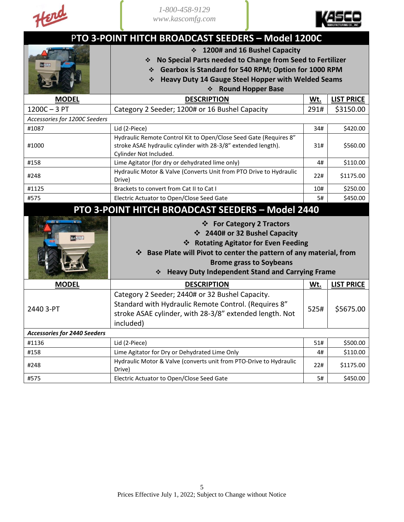



| PTO 3-POINT HITCH BROADCAST SEEDERS - Model 1200C       |                                                                                                                                                                                                                                                                               |      |                   |
|---------------------------------------------------------|-------------------------------------------------------------------------------------------------------------------------------------------------------------------------------------------------------------------------------------------------------------------------------|------|-------------------|
| 1200# and 16 Bushel Capacity<br>$\frac{1}{2}$           |                                                                                                                                                                                                                                                                               |      |                   |
|                                                         | No Special Parts needed to Change from Seed to Fertilizer<br>❖                                                                                                                                                                                                                |      |                   |
|                                                         | Gearbox is Standard for 540 RPM; Option for 1000 RPM                                                                                                                                                                                                                          |      |                   |
|                                                         | <b>Heavy Duty 14 Gauge Steel Hopper with Welded Seams</b><br>❖                                                                                                                                                                                                                |      |                   |
|                                                         | <b>Round Hopper Base</b><br>❖                                                                                                                                                                                                                                                 |      |                   |
| <b>MODEL</b>                                            | <b>DESCRIPTION</b>                                                                                                                                                                                                                                                            | Wt.  | <b>LIST PRICE</b> |
| $1200C - 3PT$                                           | Category 2 Seeder; 1200# or 16 Bushel Capacity                                                                                                                                                                                                                                | 291# | \$3150.00         |
| Accessories for 1200C Seeders                           |                                                                                                                                                                                                                                                                               |      |                   |
| #1087                                                   | Lid (2-Piece)                                                                                                                                                                                                                                                                 | 34#  | \$420.00          |
| #1000                                                   | Hydraulic Remote Control Kit to Open/Close Seed Gate (Requires 8"<br>stroke ASAE hydraulic cylinder with 28-3/8" extended length).<br>Cylinder Not Included.                                                                                                                  | 31#  | \$560.00          |
| #158                                                    | Lime Agitator (for dry or dehydrated lime only)                                                                                                                                                                                                                               | 4#   | \$110.00          |
| #248                                                    | Hydraulic Motor & Valve (Converts Unit from PTO Drive to Hydraulic<br>Drive)                                                                                                                                                                                                  | 22#  | \$1175.00         |
| #1125                                                   | Brackets to convert from Cat II to Cat I                                                                                                                                                                                                                                      | 10#  | \$250.00          |
| #575                                                    | Electric Actuator to Open/Close Seed Gate                                                                                                                                                                                                                                     | 5#   | \$450.00          |
| <b>PTO 3-POINT HITCH BROADCAST SEEDERS - Model 2440</b> |                                                                                                                                                                                                                                                                               |      |                   |
| Head <b>Within</b>                                      | ❖ For Category 2 Tractors<br>❖ 2440# or 32 Bushel Capacity<br>❖ Rotating Agitator for Even Feeding<br>Base Plate will Pivot to center the pattern of any material, from<br>❖<br><b>Brome grass to Soybeans</b><br><b>Heavy Duty Independent Stand and Carrying Frame</b><br>❖ |      |                   |
| <b>MODEL</b>                                            | <b>DESCRIPTION</b>                                                                                                                                                                                                                                                            | Wt.  | <b>LIST PRICE</b> |
| 2440 3-PT                                               | Category 2 Seeder; 2440# or 32 Bushel Capacity.<br>Standard with Hydraulic Remote Control. (Requires 8"<br>stroke ASAE cylinder, with 28-3/8" extended length. Not<br>included)                                                                                               | 525# | \$5675.00         |
| <b>Accessories for 2440 Seeders</b>                     |                                                                                                                                                                                                                                                                               |      |                   |
| #1136                                                   | Lid (2-Piece)                                                                                                                                                                                                                                                                 | 51#  | \$500.00          |
| #158                                                    | Lime Agitator for Dry or Dehydrated Lime Only                                                                                                                                                                                                                                 | 4#   | \$110.00          |
| #248                                                    | Hydraulic Motor & Valve (converts unit from PTO-Drive to Hydraulic<br>Drive)                                                                                                                                                                                                  | 22#  | \$1175.00         |
| #575                                                    | Electric Actuator to Open/Close Seed Gate                                                                                                                                                                                                                                     | 5#   | \$450.00          |